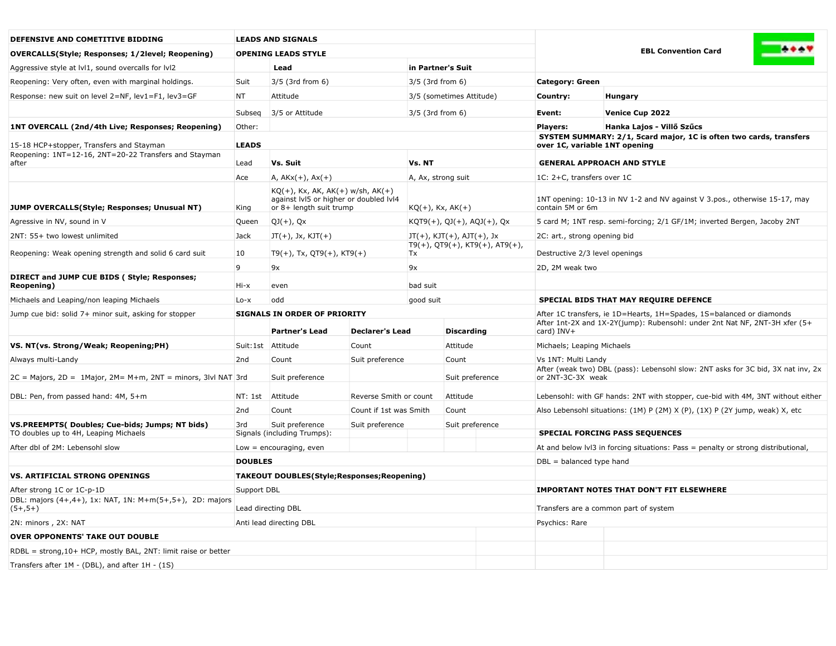| DEFENSIVE AND COMETITIVE BIDDING                                                                  | <b>LEADS AND SIGNALS</b>                                                                                               |                                                   |                                         |                               |                                                                                                |                                                                                                       |                                                                                 |  |  |
|---------------------------------------------------------------------------------------------------|------------------------------------------------------------------------------------------------------------------------|---------------------------------------------------|-----------------------------------------|-------------------------------|------------------------------------------------------------------------------------------------|-------------------------------------------------------------------------------------------------------|---------------------------------------------------------------------------------|--|--|
| <b>OVERCALLS(Style; Responses; 1/2level; Reopening)</b>                                           |                                                                                                                        | <b>OPENING LEADS STYLE</b>                        |                                         |                               |                                                                                                | <b>EBL Convention Card</b>                                                                            |                                                                                 |  |  |
| Aggressive style at IvI1, sound overcalls for IvI2                                                | Lead                                                                                                                   |                                                   |                                         | in Partner's Suit             |                                                                                                |                                                                                                       |                                                                                 |  |  |
| Reopening: Very often, even with marginal holdings.                                               | Suit<br>3/5 (3rd from 6)                                                                                               |                                                   |                                         | 3/5 (3rd from 6)              |                                                                                                | <b>Category: Green</b>                                                                                |                                                                                 |  |  |
| Response: new suit on level 2=NF, lev1=F1, lev3=GF                                                |                                                                                                                        | NT<br>Attitude                                    |                                         |                               | 3/5 (sometimes Attitude)                                                                       | Country:                                                                                              | <b>Hungary</b>                                                                  |  |  |
|                                                                                                   | Subseq<br>3/5 or Attitude                                                                                              |                                                   |                                         | $3/5$ (3rd from 6)            |                                                                                                | Event:                                                                                                | Venice Cup 2022                                                                 |  |  |
| 1NT OVERCALL (2nd/4th Live; Responses; Reopening)<br>Other:                                       |                                                                                                                        |                                                   |                                         |                               |                                                                                                | <b>Players:</b>                                                                                       | Hanka Lajos - Villő Szűcs                                                       |  |  |
|                                                                                                   |                                                                                                                        |                                                   |                                         |                               |                                                                                                | SYSTEM SUMMARY: 2/1, 5card major, 1C is often two cards, transfers<br>over 1C, variable 1NT opening   |                                                                                 |  |  |
| 15-18 HCP+stopper, Transfers and Stayman<br>Reopening: 1NT=12-16, 2NT=20-22 Transfers and Stayman | <b>LEADS</b>                                                                                                           |                                                   |                                         |                               |                                                                                                |                                                                                                       |                                                                                 |  |  |
| after                                                                                             | Vs. Suit<br>Lead                                                                                                       |                                                   |                                         | Vs. NT                        |                                                                                                | <b>GENERAL APPROACH AND STYLE</b>                                                                     |                                                                                 |  |  |
|                                                                                                   | Ace<br>$A, AKx(+), Ax(+)$                                                                                              |                                                   |                                         | A, Ax, strong suit            |                                                                                                | 1C: 2+C, transfers over 1C                                                                            |                                                                                 |  |  |
| JUMP OVERCALLS(Style; Responses; Unusual NT)                                                      | $KQ(+)$ , Kx, AK, AK $(+)$ w/sh, AK $(+)$<br>against IvI5 or higher or doubled IvI4<br>or 8+ length suit trump<br>King |                                                   | $KQ(+)$ , Kx, AK $(+)$                  |                               | 1NT opening: 10-13 in NV 1-2 and NV against V 3.pos., otherwise 15-17, may<br>contain 5M or 6m |                                                                                                       |                                                                                 |  |  |
| Agressive in NV, sound in V                                                                       | Queen<br>$QJ(+)$ , Qx                                                                                                  |                                                   |                                         | $KQT9(+)$ , QJ(+), AQJ(+), Qx |                                                                                                | 5 card M; 1NT resp. semi-forcing; 2/1 GF/1M; inverted Bergen, Jacoby 2NT                              |                                                                                 |  |  |
| 2NT: 55+ two lowest unlimited                                                                     | Jack<br>$JT(+)$ , Jx, KJT $(+)$                                                                                        |                                                   | $JT(+)$ , KJT $(+)$ , AJT $(+)$ , Jx    |                               | 2C: art., strong opening bid                                                                   |                                                                                                       |                                                                                 |  |  |
| Reopening: Weak opening strength and solid 6 card suit                                            | 10<br>$T9(+)$ , Tx, QT9(+), KT9(+)                                                                                     |                                                   | $T9(+)$ , QT9(+), KT9(+), AT9(+),<br>Tx |                               | Destructive 2/3 level openings                                                                 |                                                                                                       |                                                                                 |  |  |
|                                                                                                   |                                                                                                                        | 9<br>9x                                           |                                         |                               |                                                                                                | 2D, 2M weak two                                                                                       |                                                                                 |  |  |
| DIRECT and JUMP CUE BIDS (Style; Responses;<br>Reopening)                                         | Hi-x<br>even                                                                                                           |                                                   |                                         | bad suit                      |                                                                                                |                                                                                                       |                                                                                 |  |  |
| Michaels and Leaping/non leaping Michaels                                                         | odd<br>$Lo - x$                                                                                                        |                                                   |                                         | good suit                     |                                                                                                |                                                                                                       | SPECIAL BIDS THAT MAY REQUIRE DEFENCE                                           |  |  |
| Jump cue bid: solid 7+ minor suit, asking for stopper                                             |                                                                                                                        | <b>SIGNALS IN ORDER OF PRIORITY</b>               |                                         |                               |                                                                                                |                                                                                                       | After 1C transfers, ie 1D=Hearts, 1H=Spades, 1S=balanced or diamonds            |  |  |
|                                                                                                   |                                                                                                                        | Partner's Lead                                    | <b>Declarer's Lead</b>                  |                               | <b>Discarding</b>                                                                              | After 1nt-2X and 1X-2Y(jump): Rubensohl: under 2nt Nat NF, 2NT-3H xfer (5+<br>card) INV+              |                                                                                 |  |  |
| VS. NT(vs. Strong/Weak; Reopening;PH)                                                             |                                                                                                                        | Suit:1st Attitude                                 | Count                                   |                               | Attitude                                                                                       | Michaels; Leaping Michaels                                                                            |                                                                                 |  |  |
| Always multi-Landy                                                                                | 2 <sub>nd</sub>                                                                                                        | Count                                             | Suit preference                         |                               | Count                                                                                          | Vs 1NT: Multi Landy                                                                                   |                                                                                 |  |  |
| $2C =$ Majors, $2D = 1$ Major, $2M = M + m$ , $2NT =$ minors, $3Ivl$ NAT $3rd$                    |                                                                                                                        | Suit preference                                   |                                         |                               | Suit preference                                                                                | After (weak two) DBL (pass): Lebensohl slow: 2NT asks for 3C bid, 3X nat inv, 2x<br>or 2NT-3C-3X weak |                                                                                 |  |  |
| DBL: Pen, from passed hand: 4M, 5+m                                                               | NT: 1st                                                                                                                | Attitude                                          | Reverse Smith or count                  |                               | Attitude                                                                                       |                                                                                                       | Lebensohl: with GF hands: 2NT with stopper, cue-bid with 4M, 3NT without either |  |  |
|                                                                                                   | 2nd                                                                                                                    | Count                                             | Count if 1st was Smith                  |                               | Count                                                                                          | Also Lebensohl situations: (1M) P (2M) X (P), (1X) P (2Y jump, weak) X, etc                           |                                                                                 |  |  |
| VS.PREEMPTS( Doubles; Cue-bids; Jumps; NT bids)                                                   |                                                                                                                        | Suit preference                                   | Suit preference                         |                               | Suit preference                                                                                |                                                                                                       |                                                                                 |  |  |
| TO doubles up to 4H, Leaping Michaels                                                             | 3rd                                                                                                                    | Signals (including Trumps):                       |                                         |                               |                                                                                                |                                                                                                       | <b>SPECIAL FORCING PASS SEQUENCES</b>                                           |  |  |
| After dbl of 2M: Lebensohl slow                                                                   | Low $=$ encouraging, even                                                                                              |                                                   |                                         |                               | At and below IvI3 in forcing situations: Pass = penalty or strong distributional               |                                                                                                       |                                                                                 |  |  |
|                                                                                                   | <b>DOUBLES</b>                                                                                                         |                                                   |                                         |                               |                                                                                                | $DBL = balanced$ type hand                                                                            |                                                                                 |  |  |
| <b>VS. ARTIFICIAL STRONG OPENINGS</b>                                                             |                                                                                                                        | <b>TAKEOUT DOUBLES(Style;Responses;Reopening)</b> |                                         |                               |                                                                                                |                                                                                                       |                                                                                 |  |  |
| After strong 1C or 1C-p-1D                                                                        | Support DBL                                                                                                            |                                                   |                                         |                               |                                                                                                | <b>IMPORTANT NOTES THAT DON'T FIT ELSEWHERE</b>                                                       |                                                                                 |  |  |
| DBL: majors (4+,4+), 1x: NAT, 1N: M+m(5+,5+), 2D: majors<br>$(5+,5+)$                             | Lead directing DBL                                                                                                     |                                                   |                                         |                               |                                                                                                | Transfers are a common part of system                                                                 |                                                                                 |  |  |
| 2N: minors, 2X: NAT                                                                               |                                                                                                                        | Anti lead directing DBL                           |                                         |                               |                                                                                                | Psychics: Rare                                                                                        |                                                                                 |  |  |
| <b>OVER OPPONENTS' TAKE OUT DOUBLE</b>                                                            |                                                                                                                        |                                                   |                                         |                               |                                                                                                |                                                                                                       |                                                                                 |  |  |
| RDBL = strong, 10+ HCP, mostly BAL, 2NT: limit raise or better                                    |                                                                                                                        |                                                   |                                         |                               |                                                                                                |                                                                                                       |                                                                                 |  |  |
| Transfers after 1M - (DBL), and after 1H - (1S)                                                   |                                                                                                                        |                                                   |                                         |                               |                                                                                                |                                                                                                       |                                                                                 |  |  |